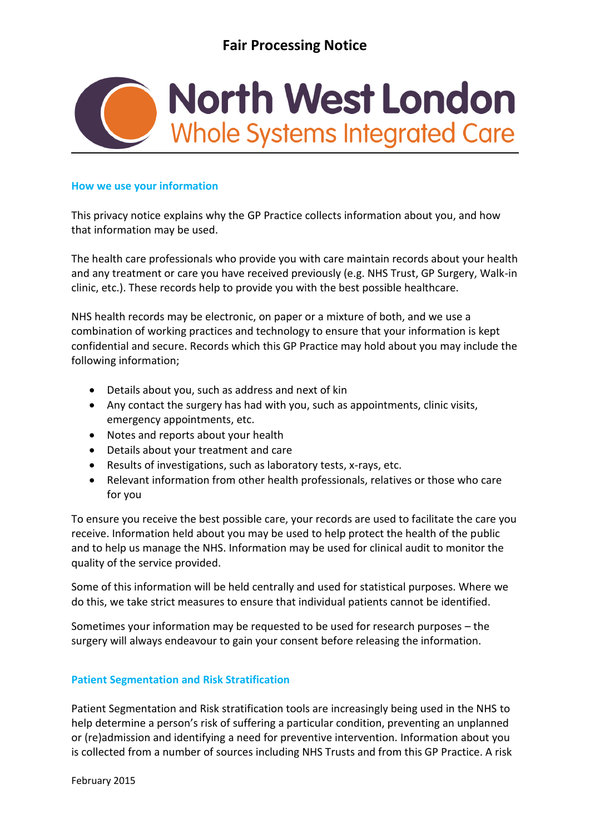

### **How we use your information**

This privacy notice explains why the GP Practice collects information about you, and how that information may be used.

The health care professionals who provide you with care maintain records about your health and any treatment or care you have received previously (e.g. NHS Trust, GP Surgery, Walk-in clinic, etc.). These records help to provide you with the best possible healthcare.

NHS health records may be electronic, on paper or a mixture of both, and we use a combination of working practices and technology to ensure that your information is kept confidential and secure. Records which this GP Practice may hold about you may include the following information;

- Details about you, such as address and next of kin
- Any contact the surgery has had with you, such as appointments, clinic visits, emergency appointments, etc.
- Notes and reports about your health
- Details about your treatment and care
- Results of investigations, such as laboratory tests, x-rays, etc.
- Relevant information from other health professionals, relatives or those who care for you

To ensure you receive the best possible care, your records are used to facilitate the care you receive. Information held about you may be used to help protect the health of the public and to help us manage the NHS. Information may be used for clinical audit to monitor the quality of the service provided.

Some of this information will be held centrally and used for statistical purposes. Where we do this, we take strict measures to ensure that individual patients cannot be identified.

Sometimes your information may be requested to be used for research purposes – the surgery will always endeavour to gain your consent before releasing the information.

# **Patient Segmentation and Risk Stratification**

Patient Segmentation and Risk stratification tools are increasingly being used in the NHS to help determine a person's risk of suffering a particular condition, preventing an unplanned or (re)admission and identifying a need for preventive intervention. Information about you is collected from a number of sources including NHS Trusts and from this GP Practice. A risk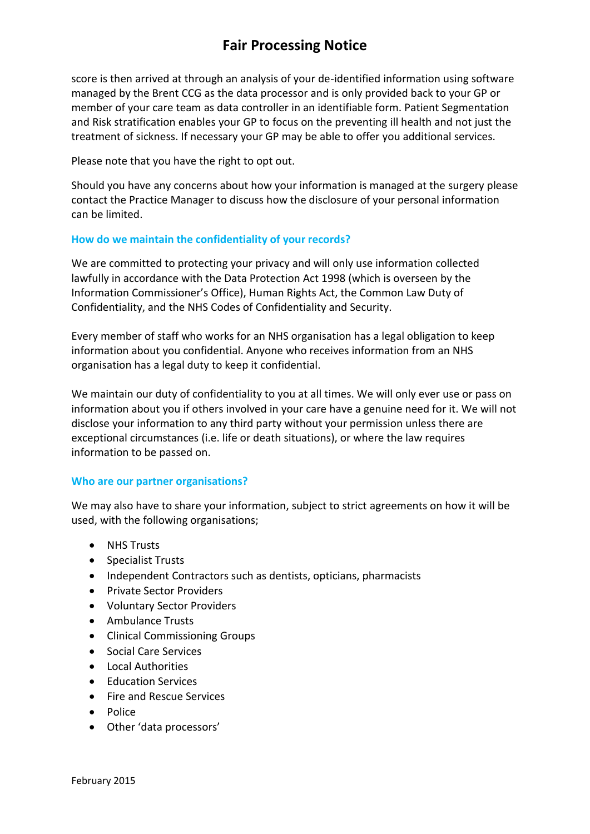# **Fair Processing Notice**

score is then arrived at through an analysis of your de-identified information using software managed by the Brent CCG as the data processor and is only provided back to your GP or member of your care team as data controller in an identifiable form. Patient Segmentation and Risk stratification enables your GP to focus on the preventing ill health and not just the treatment of sickness. If necessary your GP may be able to offer you additional services.

Please note that you have the right to opt out.

Should you have any concerns about how your information is managed at the surgery please contact the Practice Manager to discuss how the disclosure of your personal information can be limited.

#### **How do we maintain the confidentiality of your records?**

We are committed to protecting your privacy and will only use information collected lawfully in accordance with the Data Protection Act 1998 (which is overseen by the Information Commissioner's Office), Human Rights Act, the Common Law Duty of Confidentiality, and the NHS Codes of Confidentiality and Security.

Every member of staff who works for an NHS organisation has a legal obligation to keep information about you confidential. Anyone who receives information from an NHS organisation has a legal duty to keep it confidential.

We maintain our duty of confidentiality to you at all times. We will only ever use or pass on information about you if others involved in your care have a genuine need for it. We will not disclose your information to any third party without your permission unless there are exceptional circumstances (i.e. life or death situations), or where the law requires information to be passed on.

#### **Who are our partner organisations?**

We may also have to share your information, subject to strict agreements on how it will be used, with the following organisations;

- NHS Trusts
- Specialist Trusts
- Independent Contractors such as dentists, opticians, pharmacists
- Private Sector Providers
- Voluntary Sector Providers
- Ambulance Trusts
- Clinical Commissioning Groups
- Social Care Services
- Local Authorities
- Fducation Services
- Fire and Rescue Services
- Police
- Other 'data processors'